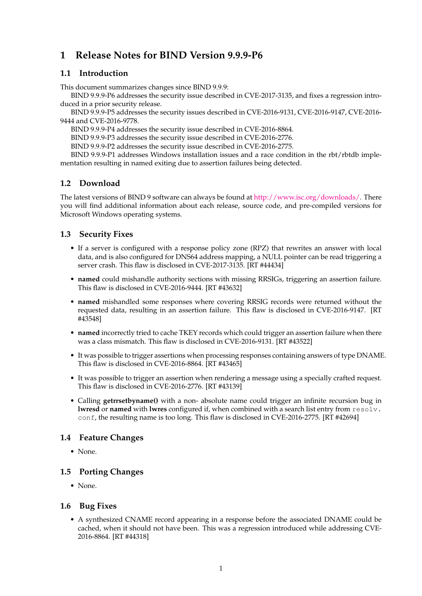# **1 Release Notes for BIND Version 9.9.9-P6**

## **1.1 Introduction**

This document summarizes changes since BIND 9.9.9:

BIND 9.9.9-P6 addresses the security issue described in CVE-2017-3135, and fixes a regression introduced in a prior security release.

BIND 9.9.9-P5 addresses the security issues described in CVE-2016-9131, CVE-2016-9147, CVE-2016- 9444 and CVE-2016-9778.

BIND 9.9.9-P4 addresses the security issue described in CVE-2016-8864.

BIND 9.9.9-P3 addresses the security issue described in CVE-2016-2776.

BIND 9.9.9-P2 addresses the security issue described in CVE-2016-2775.

BIND 9.9.9-P1 addresses Windows installation issues and a race condition in the rbt/rbtdb implementation resulting in named exiting due to assertion failures being detected.

## **1.2 Download**

The latest versions of BIND 9 software can always be found at [http://www.isc.org/downloads/.](http://www.isc.org/downloads/) There you will find additional information about each release, source code, and pre-compiled versions for Microsoft Windows operating systems.

## **1.3 Security Fixes**

- If a server is configured with a response policy zone (RPZ) that rewrites an answer with local data, and is also configured for DNS64 address mapping, a NULL pointer can be read triggering a server crash. This flaw is disclosed in CVE-2017-3135. [RT #44434]
- **named** could mishandle authority sections with missing RRSIGs, triggering an assertion failure. This flaw is disclosed in CVE-2016-9444. [RT #43632]
- **named** mishandled some responses where covering RRSIG records were returned without the requested data, resulting in an assertion failure. This flaw is disclosed in CVE-2016-9147. [RT #43548]
- **named** incorrectly tried to cache TKEY records which could trigger an assertion failure when there was a class mismatch. This flaw is disclosed in CVE-2016-9131. [RT #43522]
- It was possible to trigger assertions when processing responses containing answers of type DNAME. This flaw is disclosed in CVE-2016-8864. [RT #43465]
- It was possible to trigger an assertion when rendering a message using a specially crafted request. This flaw is disclosed in CVE-2016-2776. [RT #43139]
- Calling **getrrsetbyname()** with a non- absolute name could trigger an infinite recursion bug in **lwresd** or **named** with **lwres** configured if, when combined with a search list entry from resolv. conf, the resulting name is too long. This flaw is disclosed in CVE-2016-2775. [RT #42694]

### **1.4 Feature Changes**

• None.

### **1.5 Porting Changes**

• None.

### **1.6 Bug Fixes**

• A synthesized CNAME record appearing in a response before the associated DNAME could be cached, when it should not have been. This was a regression introduced while addressing CVE-2016-8864. [RT #44318]